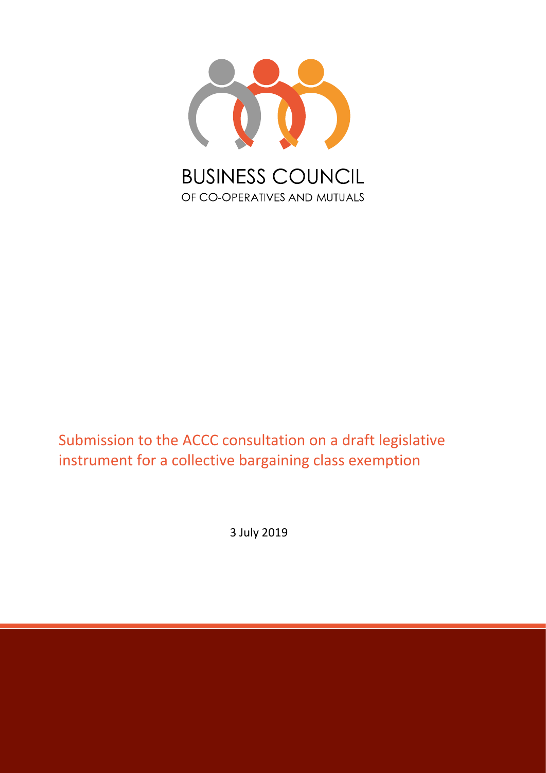

## Submission to the ACCC consultation on a draft legislative instrument for a collective bargaining class exemption

3 July 2019